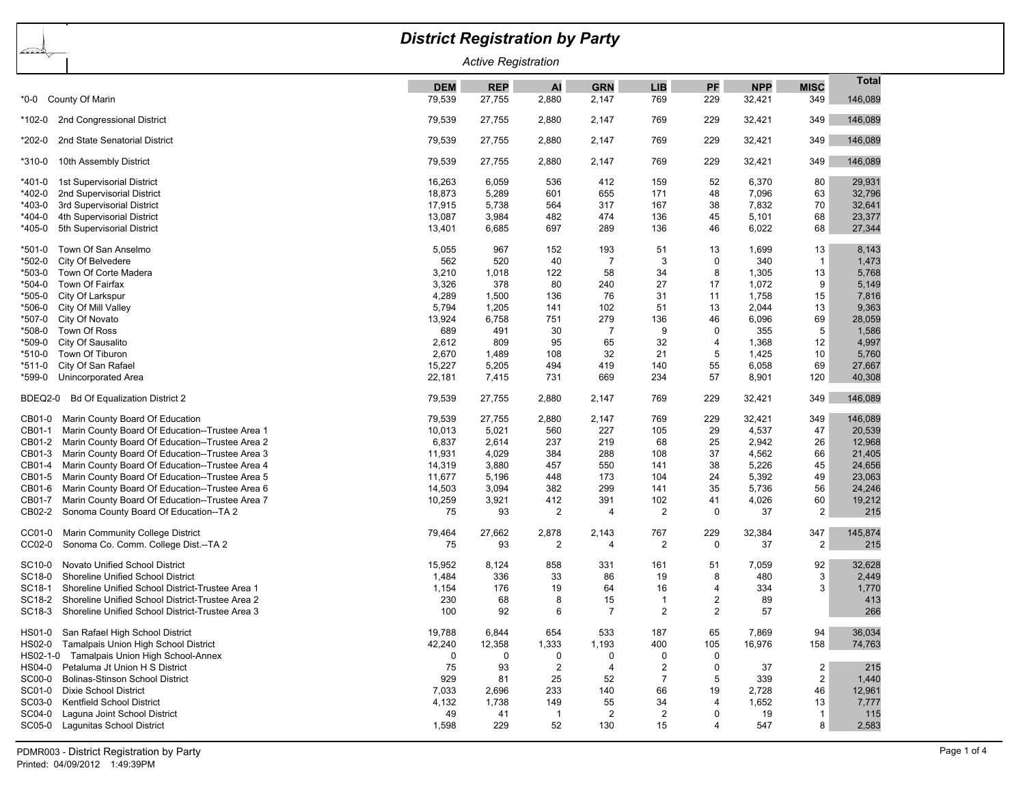## *District Registration by Party* ≪ು *Active Registration* **Total DEM REP AI GRN LIB PF NPP MISC** \*0-0 County Of Marin 79,539 27,755 2,880 2,147 769 229 32,421 349 146,089 \*102-0 2nd Congressional District 79,539 27,755 2,880 2,147 769 229 32,421 349 146,089 \*202-0 2nd State Senatorial District 79,539 27,755 2,880 2,147 769 229 32,421 349 146,089 \*310-0 10th Assembly District 79,539 27,755 2,880 2,147 769 229 32,421 349 146,089 \*401-0 1st Supervisorial District 16,263 6,059 536 412 159 52 6,370 80 29,931 \*402-0 2nd Supervisorial District 18,873 5,289 601 655 171 48 7,096 63 32,796 \*403-0 3rd Supervisorial District 17,915 5,738 564 317 167 38 7,832 70 32,641 \*404-0 4th Supervisorial District 13,087 3,984 482 474 136 45 5,101 68 23,377 \*405-0 5th Supervisorial District 13,401 6,685 697 289 136 46 6,022 68 27,344 \*501-0 Town Of San Anselmo 5,055 967 152 193 51 13 1,699 13 8,143 \*502-0 City Of Belvedere 562 520 40 7 3 0 340 1 1,473 \*503-0 Town Of Corte Madera 3,210 1,018 122 58 34 8 1,305 13 5,768 \*504-0 Town Of Fairfax 3,326 378 80 240 27 17 1,072 9 5,149 \*505-0 City Of Larkspur 4,289 1,500 136 76 31 11 1,758 15 7,816 \*506-0 City Of Mill Valley 5,794 1,205 141 102 51 13 2,044 13 9,363 \*507-0 City Of Novato 13,924 6,758 751 279 136 46 6,096 69 28,059 \*508-0 Town Of Ross 689 491 30 7 9 0 355 5 1,586 \*509-0 City Of Sausalito 2,612 809 95 65 32 4 1,368 12 4,997 \*510-0 Town Of Tiburon 2,670 1,489 108 32 21 5 1,425 10 5,760 \*511-0 City Of San Rafael 15,227 5,205 494 419 140 55 6,058 69 27,667 \*599-0 Unincorporated Area 22,181 7,415 731 669 234 57 8,901 120 40,308 BDEQ2-0 Bd Of Equalization District 2 79,539 27,755 2,880 2,147 769 229 32,421 349 146,089 CB01-0 Marin County Board Of Education 79,539 27,755 2,880 2,147 769 229 32,421 349 146,089 CB01-1 Marin County Board Of Education--Trustee Area 1 10 10 10013 10,013 5,021 560 227 105 29 4,537 47 20,539<br>CB01-2 Marin County Board Of Education--Trustee Area 2 1 100 100 100 100 100 100 100 100 237 2.91 2.98 25 2.942 CB01-2 Marin County Board Of Education--Trustee Area 2 6 6,837 6,837 2,614 237 219 68 25 2,942 26 CB01-3 Marin County Board Of Education--Trustee Area 3 11,931 4,029 384 288 108 37 4,562 66 21,405 CB01-4 Marin County Board Of Education--Trustee Area 4 14 14,319 14,319 14,319 3,880 457 550 141 38 5,226 45 24,656<br>CB01-5 Marin County Board Of Education--Trustee Area 5 14 14 11.677 5.196 448 173 104 24 5.392 49 23.063 CB01-5 Marin County Board Of Education--Trustee Area 5 11,677 5,196 448 173 104 24 5,392 49 23,063 CB01-6 Marin County Board Of Education--Trustee Area 6 14 14,503 14,503 3,094 382 299 141 35 5,736 56 24,246 CB01-7 Marin County Board Of Education--Trustee Area 7 10,259 3,921 412 391 102 41 4,026 60 19,212 CB02-2 Sonoma County Board Of Education--TA 2 75 93 2 4 2 0 37 2 215 CC01-0 Marin Community College District 79,464 27,662 2,878 2,143 767 229 32,384 347 145,874 CC02-0 Sonoma Co. Comm. College Dist.--TA 2 75 93 2 4 2 0 37 2 215 SC10-0 Novato Unified School District 15,052 8,124 858 331 161 51 7,059 92 32,628 SC18-0 Shoreline Unified School District 1,484 336 33 86 19 8 480 3 2,449 SC18-1 Shoreline Unified School District-Trustee Area 1 1 1,154 176 19 64 16 4 334 3 1,770 SC18-2 Shoreline Unified School District-Trustee Area 2 230 230 68 8 15 1 2 89 413 SC18-3 Shoreline Unified School District-Trustee Area 3 100 92 6 7 2 57 57 2 6 266 HS01-0 San Rafael High School District 19,788 6,844 654 533 187 65 7,869 94 36,034 HS02-0 Tamalpais Union High School District 10 12 12,240 12,240 12,358 1,333 1,193 400 105 16,976 158 74,763 HS02-1-0 Tamalpais Union High School-Annex 0 0 0 0 0 0 HS04-0 Petaluma Jt Union H S District 75 93 2 4 2 0 37 2 215 SC00-0 Bolinas-Stinson School District 929 81 25 52 7 5 339 2 1,440 SC01-0 Dixie School District 7,033 2,696 233 140 66 19 2,728 46 12,961 SC03-0 Kentfield School District 4,132 1,738 149 55 34 4 1,652 13 7,777 SC04-0 Laguna Joint School District 15 115 SC05-0 Lagunitas School District 1,598 229 52 130 15 4 547 8 2,583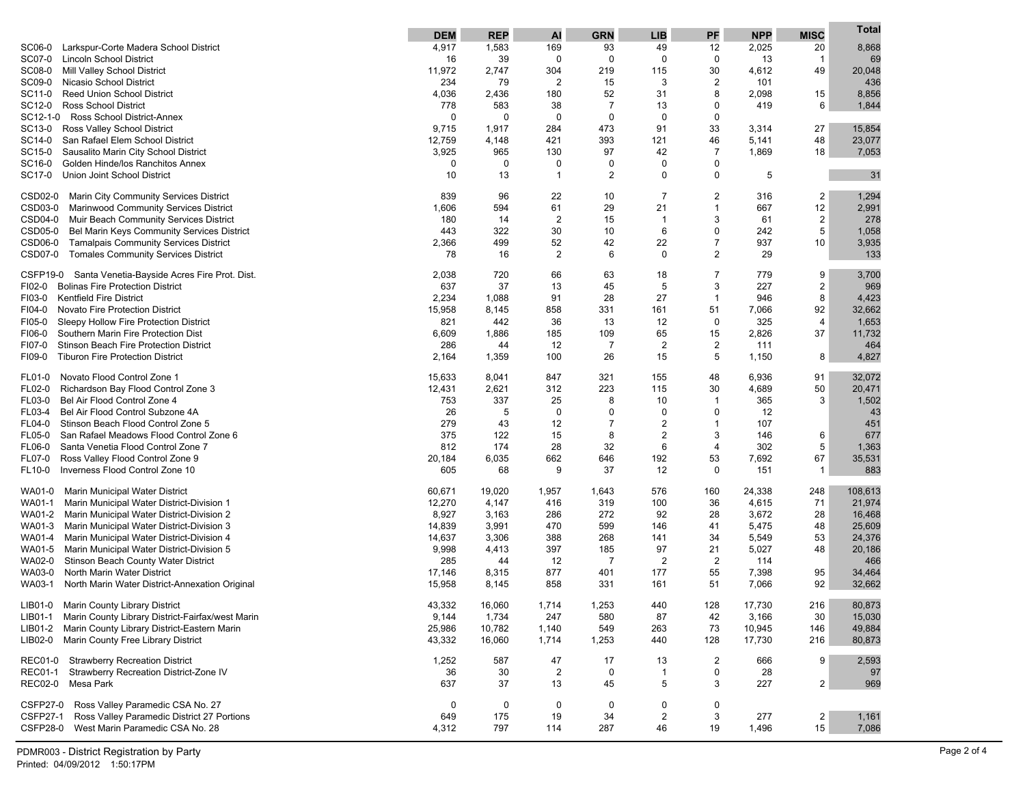|                                                                                                   | <b>DEM</b>      | <b>REP</b>      | AI             | <b>GRN</b>     | <b>LIB</b>              | PF             | <b>NPP</b>      | <b>MISC</b>    | Total            |
|---------------------------------------------------------------------------------------------------|-----------------|-----------------|----------------|----------------|-------------------------|----------------|-----------------|----------------|------------------|
| Larkspur-Corte Madera School District<br>SC06-0                                                   | 4,917           | 1,583           | 169            | 93             | 49                      | 12             | 2,025           | 20             | 8,868            |
| <b>Lincoln School District</b><br>SC07-0                                                          | 16              | 39              | 0              | $\mathbf 0$    | $\mathbf 0$             | $\mathbf 0$    | 13              | $\mathbf{1}$   | 69               |
| SC08-0<br>Mill Valley School District                                                             | 11,972          | 2,747           | 304            | 219            | 115                     | 30             | 4,612           | 49             | 20,048           |
| SC09-0<br>Nicasio School District                                                                 | 234             | 79              | $\overline{c}$ | 15             | 3                       | 2              | 101             |                | 436              |
| SC11-0<br><b>Reed Union School District</b>                                                       | 4,036           | 2,436           | 180            | 52             | 31                      | 8              | 2,098           | 15             | 8,856            |
| <b>Ross School District</b><br>SC12-0                                                             | 778             | 583             | 38             | $\overline{7}$ | 13                      | 0              | 419             | 6              | 1,844            |
| Ross School District-Annex<br>SC12-1-0                                                            | 0               | 0               | 0              | 0              | $\mathbf 0$             | 0              |                 |                |                  |
| SC13-0<br>Ross Valley School District                                                             | 9,715           | 1,917           | 284            | 473            | 91                      | 33             | 3,314           | 27             | 15,854           |
| SC14-0<br>San Rafael Elem School District                                                         | 12,759          | 4,148<br>965    | 421<br>130     | 393<br>97      | 121<br>42               | 46<br>7        | 5,141           | 48<br>18       | 23,077           |
| Sausalito Marin City School District<br>SC15-0<br>SC16-0<br>Golden Hinde/los Ranchitos Annex      | 3,925<br>0      | 0               | 0              | 0              | $\mathbf 0$             | 0              | 1,869           |                | 7,053            |
| SC17-0<br>Union Joint School District                                                             | 10              | 13              | $\overline{1}$ | 2              | $\mathbf 0$             | 0              | 5               |                | 31               |
|                                                                                                   |                 |                 |                |                |                         |                |                 |                |                  |
| CSD02-0<br>Marin City Community Services District                                                 | 839             | 96              | 22             | 10             | 7                       | 2              | 316             | $\overline{2}$ | 1,294            |
| CSD03-0<br>Marinwood Community Services District                                                  | 1,606           | 594             | 61             | 29             | 21                      | $\mathbf{1}$   | 667             | 12             | 2,991            |
| CSD04-0<br>Muir Beach Community Services District                                                 | 180             | 14              | $\overline{2}$ | 15             | -1                      | 3              | 61              | $\overline{2}$ | 278              |
| CSD05-0<br>Bel Marin Keys Community Services District                                             | 443             | 322             | 30             | 10             | 6                       | 0              | 242             | 5              | 1,058            |
| CSD06-0<br><b>Tamalpais Community Services District</b>                                           | 2,366           | 499             | 52             | 42             | 22                      | $\overline{7}$ | 937             | 10             | 3,935            |
| <b>CSD07-0</b><br>Tomales Community Services District                                             | 78              | 16              | 2              | 6              | $\Omega$                | 2              | 29              |                | 133              |
| CSFP19-0<br>Santa Venetia-Bayside Acres Fire Prot. Dist.                                          | 2,038           | 720             | 66             | 63             | 18                      | 7              | 779             | 9              | 3,700            |
| FI02-0<br><b>Bolinas Fire Protection District</b>                                                 | 637             | 37              | 13             | 45             | 5                       | 3              | 227             | $\overline{c}$ | 969              |
| <b>Kentfield Fire District</b><br>FI03-0                                                          | 2,234           | 1,088           | 91             | 28             | 27                      | $\mathbf{1}$   | 946             | 8              | 4,423            |
| FI04-0<br>Novato Fire Protection District                                                         | 15,958          | 8,145           | 858            | 331            | 161                     | 51             | 7,066           | 92             | 32,662           |
| FI05-0<br>Sleepy Hollow Fire Protection District                                                  | 821             | 442             | 36             | 13             | 12                      | 0              | 325             | 4              | 1,653            |
| FI06-0<br>Southern Marin Fire Protection Dist                                                     | 6,609           | 1,886           | 185            | 109            | 65                      | 15             | 2,826           | 37             | 11,732           |
| FI07-0<br>Stinson Beach Fire Protection District                                                  | 286             | 44              | 12             | $\overline{7}$ | $\overline{2}$          | $\overline{c}$ | 111             |                | 464              |
| <b>Tiburon Fire Protection District</b><br>FI09-0                                                 | 2,164           | 1,359           | 100            | 26             | 15                      | 5              | 1,150           | 8              | 4,827            |
| Novato Flood Control Zone 1<br>FL01-0                                                             | 15,633          | 8,041           | 847            | 321            | 155                     | 48             | 6,936           | 91             | 32,072           |
| FL02-0<br>Richardson Bay Flood Control Zone 3                                                     | 12,431          | 2,621           | 312            | 223            | 115                     | 30             | 4,689           | 50             | 20,471           |
| Bel Air Flood Control Zone 4<br><b>FL03-0</b>                                                     | 753             | 337             | 25             | 8              | 10                      | 1              | 365             | 3              | 1,502            |
| Bel Air Flood Control Subzone 4A<br>FL03-4                                                        | 26              | 5               | 0              | 0              | $\mathbf 0$             | 0              | 12              |                | 43               |
| Stinson Beach Flood Control Zone 5<br>FL04-0                                                      | 279             | 43              | 12             | $\overline{7}$ | $\overline{2}$          | 1              | 107             |                | 451              |
| FL05-0<br>San Rafael Meadows Flood Control Zone 6                                                 | 375             | 122             | 15             | 8              | $\overline{2}$          | 3              | 146             | 6              | 677              |
| Santa Venetia Flood Control Zone 7<br><b>FL06-0</b>                                               | 812             | 174             | 28             | 32             | 6                       | 4              | 302             | 5              | 1,363            |
| FL07-0<br>Ross Valley Flood Control Zone 9                                                        | 20,184          | 6,035           | 662            | 646            | 192                     | 53             | 7,692           | 67             | 35,531           |
| Inverness Flood Control Zone 10<br>FL10-0                                                         | 605             | 68              | 9              | 37             | 12                      | 0              | 151             | $\mathbf{1}$   | 883              |
| WA01-0<br>Marin Municipal Water District                                                          | 60,671          | 19,020          | 1,957          | 1,643          | 576                     | 160            | 24,338          | 248            | 108,613          |
| WA01-1<br>Marin Municipal Water District-Division 1                                               | 12,270          | 4,147           | 416            | 319            | 100                     | 36             | 4,615           | 71             | 21,974           |
| WA01-2<br>Marin Municipal Water District-Division 2                                               | 8,927           | 3,163           | 286            | 272            | 92                      | 28             | 3,672           | 28             | 16,468           |
| WA01-3<br>Marin Municipal Water District-Division 3                                               | 14,839          | 3,991           | 470            | 599            | 146                     | 41             | 5,475           | 48             | 25,609           |
| WA01-4<br>Marin Municipal Water District-Division 4                                               | 14,637          | 3,306           | 388            | 268            | 141                     | 34             | 5,549           | 53             | 24,376           |
| WA01-5<br>Marin Municipal Water District-Division 5                                               | 9,998           | 4,413           | 397            | 185            | 97                      | 21             | 5,027           | 48             | 20,186           |
| WA02-0<br><b>Stinson Beach County Water District</b>                                              | 285             | 44              | 12             | $\overline{7}$ | $\overline{2}$          | $\overline{2}$ | 114             |                | 466              |
| WA03-0<br>North Marin Water District                                                              | 17,146          | 8,315           | 877            | 401            | 177                     | 55             | 7,398           | 95             | 34,464           |
| WA03-1<br>North Marin Water District-Annexation Original                                          | 15,958          | 8,145           | 858            | 331            | 161                     | 51             | 7,066           | 92             | 32,662           |
|                                                                                                   |                 |                 |                |                |                         |                |                 |                |                  |
| LIB01-0 Marin County Library District<br>LIB01-1 Marin County Library District-Fairfax/west Marin | 43,332          | 16,060          | 1,714          | 1,253          | 440                     | 128            | 17,730          | 216            | 80,873           |
| LIB01-2 Marin County Library District-Eastern Marin                                               | 9,144<br>25,986 | 1,734<br>10,782 | 247            | 580<br>549     | 87<br>263               | 42<br>73       | 3,166<br>10,945 | 30<br>146      | 15,030<br>49,884 |
| Marin County Free Library District<br>LIB02-0                                                     | 43,332          | 16,060          | 1,140<br>1,714 | 1,253          | 440                     | 128            | 17,730          | 216            | 80,873           |
|                                                                                                   |                 |                 |                |                |                         |                |                 |                |                  |
| REC01-0 Strawberry Recreation District                                                            | 1,252           | 587             | 47             | 17             | 13                      | $\overline{2}$ | 666             | 9              | 2,593            |
| <b>REC01-1</b><br>Strawberry Recreation District-Zone IV                                          | 36              | 30              | $\overline{2}$ | 0              | -1                      | 0              | 28              |                | 97               |
| <b>REC02-0</b><br>Mesa Park                                                                       | 637             | 37              | 13             | 45             | 5                       | 3              | 227             | $\overline{2}$ | 969              |
| Ross Valley Paramedic CSA No. 27<br><b>CSFP27-0</b>                                               | 0               | 0               | 0              | 0              | 0                       | 0              |                 |                |                  |
| <b>CSFP27-1</b><br>Ross Valley Paramedic District 27 Portions                                     | 649             | 175             | 19             | 34             | $\overline{\mathbf{c}}$ | 3              | 277             | $\overline{2}$ | 1,161            |
| <b>CSFP28-0</b><br>West Marin Paramedic CSA No. 28                                                | 4,312           | 797             | 114            | 287            | 46                      | 19             | 1,496           | 15             | 7,086            |
|                                                                                                   |                 |                 |                |                |                         |                |                 |                |                  |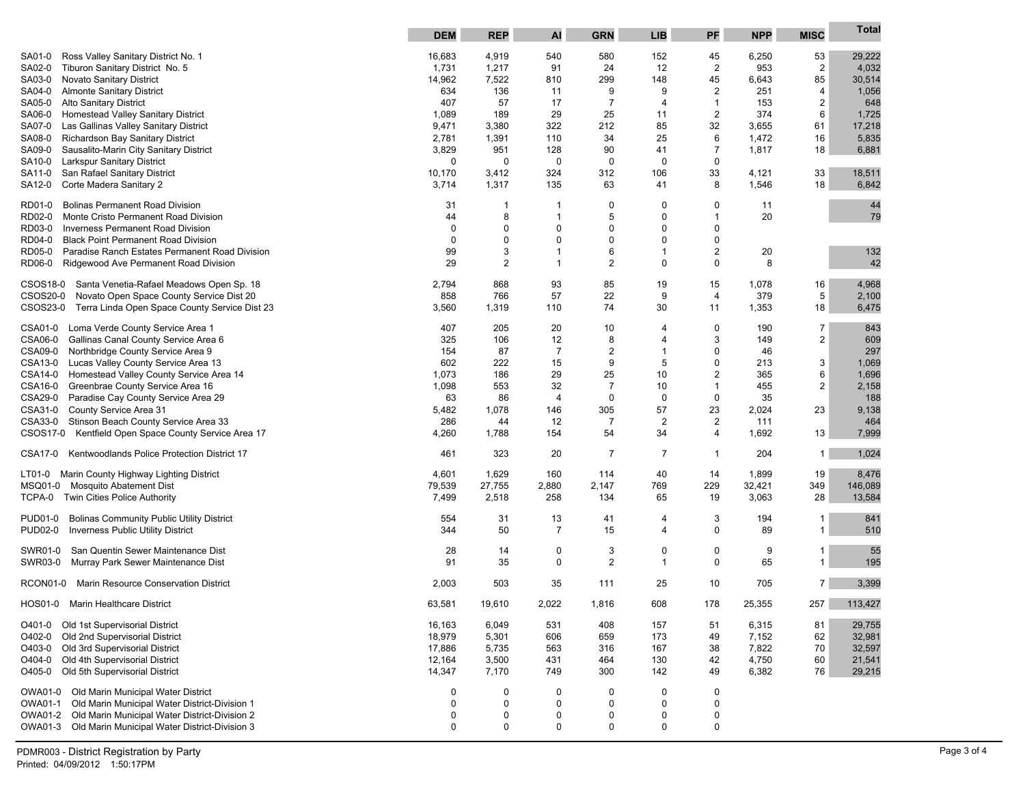|                                                                             | <b>DEM</b>      | <b>REP</b>     | <b>Al</b>      | <b>GRN</b>     | <b>LIB</b>     | PF               | <b>NPP</b>     | <b>MISC</b>    | Total           |
|-----------------------------------------------------------------------------|-----------------|----------------|----------------|----------------|----------------|------------------|----------------|----------------|-----------------|
| Ross Valley Sanitary District No. 1<br>SA01-0                               | 16,683          | 4,919          | 540            | 580            | 152            | 45               | 6,250          | 53             | 29,222          |
| SA02-0<br>Tiburon Sanitary District No. 5                                   | 1,731           | 1,217          | 91             | 24             | 12             | 2                | 953            | $\overline{2}$ | 4,032           |
| Novato Sanitary District<br>SA03-0                                          | 14,962          | 7,522          | 810            | 299            | 148            | 45               | 6,643          | 85             | 30,514          |
| <b>Almonte Sanitary District</b><br>SA04-0                                  | 634             | 136            | 11             | 9              | 9              | 2                | 251            | 4              | 1,056           |
| <b>Alto Sanitary District</b><br>SA05-0                                     | 407             | 57             | 17             | $\overline{7}$ | 4              | 1                | 153            | $\overline{2}$ | 648             |
| Homestead Valley Sanitary District<br>SA06-0                                | 1,089           | 189            | 29             | 25             | 11             | $\boldsymbol{2}$ | 374            | 6              | 1,725           |
| Las Gallinas Valley Sanitary District<br>SA07-0                             | 9,471           | 3,380          | 322            | 212            | 85             | 32               | 3,655          | 61             | 17,218          |
| Richardson Bay Sanitary District<br>SA08-0                                  | 2,781           | 1,391          | 110            | 34             | 25             | 6                | 1,472          | 16             | 5,835           |
| Sausalito-Marin City Sanitary District<br>SA09-0                            | 3,829           | 951            | 128            | 90             | 41             | 7                | 1,817          | 18             | 6,881           |
| Larkspur Sanitary District<br>SA10-0                                        | 0               | 0              | 0              | $\mathbf 0$    | $\mathbf 0$    | 0                |                |                |                 |
| San Rafael Sanitary District<br>SA11-0<br>Corte Madera Sanitary 2<br>SA12-0 | 10,170<br>3,714 | 3,412<br>1,317 | 324<br>135     | 312<br>63      | 106<br>41      | 33<br>8          | 4,121<br>1,546 | 33<br>18       | 18,511<br>6,842 |
|                                                                             |                 |                |                |                |                |                  |                |                |                 |
| RD01-0<br><b>Bolinas Permanent Road Division</b>                            | 31              | -1             | $\overline{1}$ | 0              | 0              | 0                | 11             |                | 44              |
| RD02-0<br>Monte Cristo Permanent Road Division                              | 44              | 8              | $\overline{1}$ | 5              | $\mathbf 0$    | 1                | 20             |                | 79              |
| RD03-0<br><b>Inverness Permanent Road Division</b>                          | $\mathbf 0$     | $\mathbf 0$    | 0              | 0              | $\mathbf 0$    | 0                |                |                |                 |
| RD04-0<br><b>Black Point Permanent Road Division</b>                        | $\mathbf 0$     | $\mathbf 0$    | 0              | $\Omega$       | $\mathbf 0$    | 0                |                |                |                 |
| RD05-0<br>Paradise Ranch Estates Permanent Road Division                    | 99              | $\mathbf{3}$   | $\overline{1}$ | 6              | $\mathbf 1$    | $\overline{c}$   | 20             |                | 132             |
| RD06-0<br>Ridgewood Ave Permanent Road Division                             | 29              | $\overline{2}$ | $\overline{1}$ | $\overline{2}$ | $\mathbf 0$    | 0                | 8              |                | 42              |
| CSOS18-0<br>Santa Venetia-Rafael Meadows Open Sp. 18                        | 2,794           | 868            | 93             | 85             | 19             | 15               | 1,078          | 16             | 4,968           |
| CSOS20-0<br>Novato Open Space County Service Dist 20                        | 858             | 766            | 57             | 22             | 9              | 4                | 379            | 5              | 2,100           |
| CSOS23-0<br>Terra Linda Open Space County Service Dist 23                   | 3,560           | 1,319          | 110            | 74             | 30             | 11               | 1,353          | 18             | 6,475           |
| CSA01-0<br>Loma Verde County Service Area 1                                 | 407             | 205            | 20             | 10             | 4              | 0                | 190            | $\overline{7}$ | 843             |
| CSA06-0<br>Gallinas Canal County Service Area 6                             | 325             | 106            | 12             | 8              | 4              | 3                | 149            | 2              | 609             |
| CSA09-0<br>Northbridge County Service Area 9                                | 154             | 87             | $\overline{7}$ | $\overline{2}$ | $\mathbf 1$    | 0                | 46             |                | 297             |
| CSA13-0<br>Lucas Valley County Service Area 13                              | 602             | 222            | 15             | 9              | 5              | 0                | 213            | 3              | 1,069           |
| Homestead Valley County Service Area 14<br>CSA14-0                          | 1,073           | 186            | 29             | 25             | 10             | 2                | 365            | 6              | 1,696           |
| CSA16-0<br>Greenbrae County Service Area 16                                 | 1,098           | 553            | 32             | $\overline{7}$ | 10             | 1                | 455            | $\overline{2}$ | 2,158           |
| CSA29-0<br>Paradise Cay County Service Area 29                              | 63              | 86             | $\overline{4}$ | $\mathbf 0$    | $\mathbf 0$    | 0                | 35             |                | 188             |
| CSA31-0<br>County Service Area 31                                           | 5,482           | 1,078          | 146            | 305            | 57             | 23               | 2,024          | 23             | 9,138           |
| CSA33-0<br>Stinson Beach County Service Area 33                             | 286             | 44             | 12             | $\overline{7}$ | $\overline{2}$ | 2                | 111            |                | 464             |
| Kentfield Open Space County Service Area 17<br>CSOS17-0                     | 4,260           | 1,788          | 154            | 54             | 34             | 4                | 1,692          | 13             | 7,999           |
| Kentwoodlands Police Protection District 17<br>CSA17-0                      | 461             | 323            | 20             | $\overline{7}$ | 7              | 1                | 204            | $\mathbf{1}$   | 1,024           |
| LT01-0<br>Marin County Highway Lighting District                            | 4,601           | 1,629          | 160            | 114            | 40             | 14               | 1,899          | 19             | 8,476           |
| MSQ01-0<br><b>Mosquito Abatement Dist</b>                                   | 79,539          | 27,755         | 2,880          | 2,147          | 769            | 229              | 32,421         | 349            | 146,089         |
| Twin Cities Police Authority<br>TCPA-0                                      | 7,499           | 2,518          | 258            | 134            | 65             | 19               | 3,063          | 28             | 13,584          |
| <b>Bolinas Community Public Utility District</b><br><b>PUD01-0</b>          | 554             | 31             | 13             | 41             | 4              | 3                | 194            | 1              | 841             |
| Inverness Public Utility District<br><b>PUD02-0</b>                         | 344             | 50             | $\overline{7}$ | 15             | 4              | 0                | 89             | 1              | 510             |
| San Quentin Sewer Maintenance Dist<br>SWR01-0                               | 28              | 14             | 0              | 3              | 0              | 0                | 9              | 1              | 55              |
| SWR03-0<br>Murray Park Sewer Maintenance Dist                               | 91              | 35             | $\mathbf 0$    | $\overline{2}$ | $\mathbf 1$    | 0                | 65             |                | 195             |
| Marin Resource Conservation District<br>RCON01-0                            | 2,003           | 503            | 35             | 111            | 25             | 10               | 705            | 7              | 3,399           |
| HOS01-0 Marin Healthcare District                                           | 63,581          | 19,610         | 2,022          | 1,816          | 608            | 178              | 25,355         | 257            | 113,427         |
| O401-0<br>Old 1st Supervisorial District                                    | 16,163          | 6,049          | 531            | 408            | 157            | 51               | 6,315          | 81             | 29,755          |
| O402-0<br>Old 2nd Supervisorial District                                    | 18,979          | 5,301          | 606            | 659            | 173            | 49               | 7,152          | 62             | 32,981          |
| Old 3rd Supervisorial District<br>O403-0                                    | 17,886          | 5,735          | 563            | 316            | 167            | 38               | 7,822          | 70             | 32,597          |
| O404-0<br>Old 4th Supervisorial District                                    | 12,164          | 3,500          | 431            | 464            | 130            | 42               | 4,750          | 60             | 21,541          |
| Old 5th Supervisorial District<br>O405-0                                    | 14,347          | 7,170          | 749            | 300            | 142            | 49               | 6,382          | 76             | 29,215          |
| Old Marin Municipal Water District<br>OWA01-0                               | $\mathbf 0$     | 0              | 0              | 0              | 0              | 0                |                |                |                 |
| OWA01-1<br>Old Marin Municipal Water District-Division 1                    | $\Omega$        | 0              | $\mathbf 0$    | 0              | 0              | 0                |                |                |                 |
| OWA01-2<br>Old Marin Municipal Water District-Division 2                    | 0               | 0              | 0              | 0              | 0              | 0                |                |                |                 |
| OWA01-3<br>Old Marin Municipal Water District-Division 3                    | $\mathbf 0$     | $\mathbf 0$    | $\mathbf 0$    | 0              | 0              | 0                |                |                |                 |
|                                                                             |                 |                |                |                |                |                  |                |                |                 |